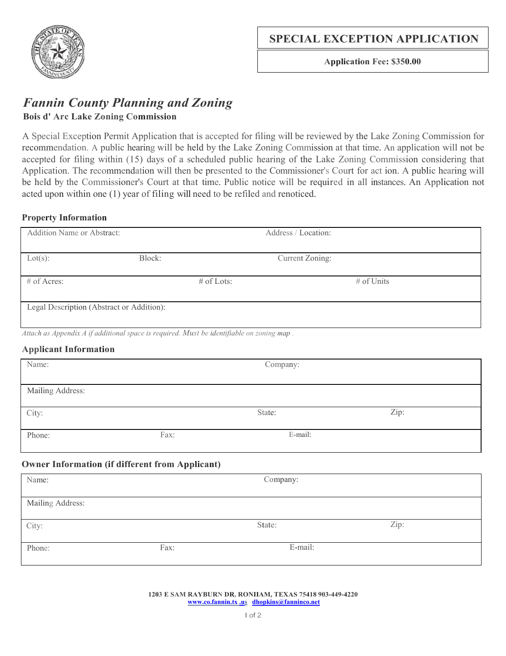

**Application Fee: \$350.00**

# *Fannin County Planning and Zoning* **Bois d' Arc Lake Zoning Commission**

A Special Exception Permit Application that is accepted for filing will be reviewed by the Lake Zoning Commission for recommendation. A public hearing will be held by the Lake Zoning Commission at that time. An application will not be accepted for filing within (15) days of a scheduled public hearing of the Lake Zoning Commission considering that Application. The recommendation will then be presented to the Commissioner's Court for act ion. A public hearing will be held by the Commissioner's Court at that time. Public notice will be required in all instances. An Application not acted upon within one (1) year of filing will need to be refiled and renoticed.

### **Property Information**

| <b>Addition Name or Abstract:</b>                                                         |        | Address / Location: |                 |  |  |  |
|-------------------------------------------------------------------------------------------|--------|---------------------|-----------------|--|--|--|
|                                                                                           |        |                     |                 |  |  |  |
| Lot(s):                                                                                   | Block: |                     | Current Zoning: |  |  |  |
|                                                                                           |        |                     |                 |  |  |  |
| $\#$ of Acres:                                                                            |        | $\#$ of Lots:       | $\#$ of Units   |  |  |  |
|                                                                                           |        |                     |                 |  |  |  |
| Legal Description (Abstract or Addition):                                                 |        |                     |                 |  |  |  |
|                                                                                           |        |                     |                 |  |  |  |
| Attach as Appendix A if additional space is required. Must be identifiable on zoning map. |        |                     |                 |  |  |  |
| <b>Applicant Information</b>                                                              |        |                     |                 |  |  |  |

| Name:            |      | Company: |      |  |
|------------------|------|----------|------|--|
| Mailing Address: |      |          |      |  |
| City:            |      | State:   | Zip: |  |
| Phone:           | Fax: | E-mail:  |      |  |

# **Owner Information (if different from Applicant)**

| Name:            |      | Company: |      |
|------------------|------|----------|------|
| Mailing Address: |      |          |      |
| City:            |      | State:   | Zip: |
| Phone:           | Fax: | E-mail:  |      |

#### **1203 E SAM RAYBURN DR, RONIIAM, TEXAS 75418 903-449-4220 www.co.fannin.tx .us [dhopkins@fanninco.net](mailto:dhopkins@fanninco.net)**